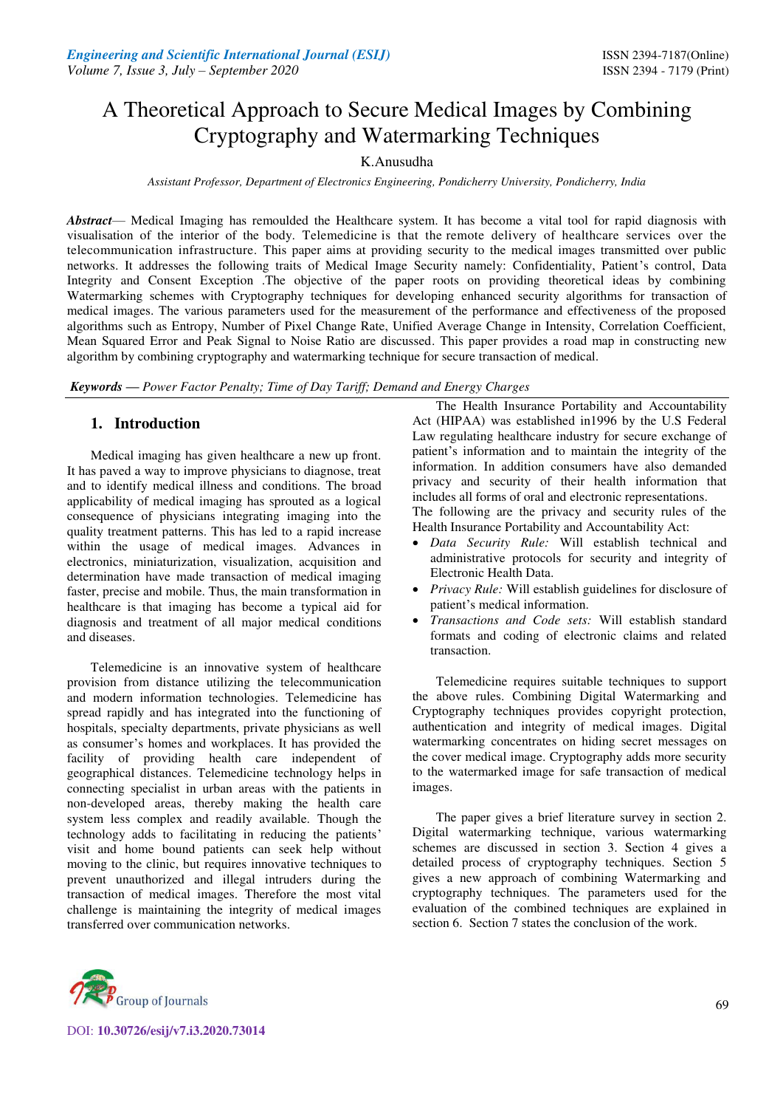# A Theoretical Approach to Secure Medical Images by Combining Cryptography and Watermarking Techniques

# K.Anusudha

*Assistant Professor, Department of Electronics Engineering, Pondicherry University, Pondicherry, India*

*Abstract*— Medical Imaging has remoulded the Healthcare system. It has become a vital tool for rapid diagnosis with visualisation of the interior of the body. Telemedicine is that the remote delivery of healthcare services over the telecommunication infrastructure. This paper aims at providing security to the medical images transmitted over public networks. It addresses the following traits of Medical Image Security namely: Confidentiality, Patient's control, Data Integrity and Consent Exception .The objective of the paper roots on providing theoretical ideas by combining Watermarking schemes with Cryptography techniques for developing enhanced security algorithms for transaction of medical images. The various parameters used for the measurement of the performance and effectiveness of the proposed algorithms such as Entropy, Number of Pixel Change Rate, Unified Average Change in Intensity, Correlation Coefficient, Mean Squared Error and Peak Signal to Noise Ratio are discussed. This paper provides a road map in constructing new algorithm by combining cryptography and watermarking technique for secure transaction of medical.

*Keywords* **—** *Power Factor Penalty; Time of Day Tariff; Demand and Energy Charges*

# **1. Introduction**

Medical imaging has given healthcare a new up front. It has paved a way to improve physicians to diagnose, treat and to identify medical illness and conditions. The broad applicability of medical imaging has sprouted as a logical consequence of physicians integrating imaging into the quality treatment patterns. This has led to a rapid increase within the usage of medical images. Advances in electronics, miniaturization, visualization, acquisition and determination have made transaction of medical imaging faster, precise and mobile. Thus, the main transformation in healthcare is that imaging has become a typical aid for diagnosis and treatment of all major medical conditions and diseases.

Telemedicine is an innovative system of healthcare provision from distance utilizing the telecommunication and modern information technologies. Telemedicine has spread rapidly and has integrated into the functioning of hospitals, specialty departments, private physicians as well as consumer's homes and workplaces. It has provided the facility of providing health care independent of geographical distances. Telemedicine technology helps in connecting specialist in urban areas with the patients in non-developed areas, thereby making the health care system less complex and readily available. Though the technology adds to facilitating in reducing the patients' visit and home bound patients can seek help without moving to the clinic, but requires innovative techniques to prevent unauthorized and illegal intruders during the transaction of medical images. Therefore the most vital challenge is maintaining the integrity of medical images transferred over communication networks.

The Health Insurance Portability and Accountability Act (HIPAA) was established in1996 by the U.S Federal Law regulating healthcare industry for secure exchange of patient's information and to maintain the integrity of the information. In addition consumers have also demanded privacy and security of their health information that includes all forms of oral and electronic representations.

The following are the privacy and security rules of the Health Insurance Portability and Accountability Act:

- *Data Security Rule:* Will establish technical and administrative protocols for security and integrity of Electronic Health Data.
- *Privacy Rule:* Will establish guidelines for disclosure of patient's medical information.
- *Transactions and Code sets:* Will establish standard formats and coding of electronic claims and related transaction.

Telemedicine requires suitable techniques to support the above rules. Combining Digital Watermarking and Cryptography techniques provides copyright protection, authentication and integrity of medical images. Digital watermarking concentrates on hiding secret messages on the cover medical image. Cryptography adds more security to the watermarked image for safe transaction of medical images.

The paper gives a brief literature survey in section 2. Digital watermarking technique, various watermarking schemes are discussed in section 3. Section 4 gives a detailed process of cryptography techniques. Section 5 gives a new approach of combining Watermarking and cryptography techniques. The parameters used for the evaluation of the combined techniques are explained in section 6. Section 7 states the conclusion of the work.



DOI: **10.30726/esij/v7.i3.2020.73014**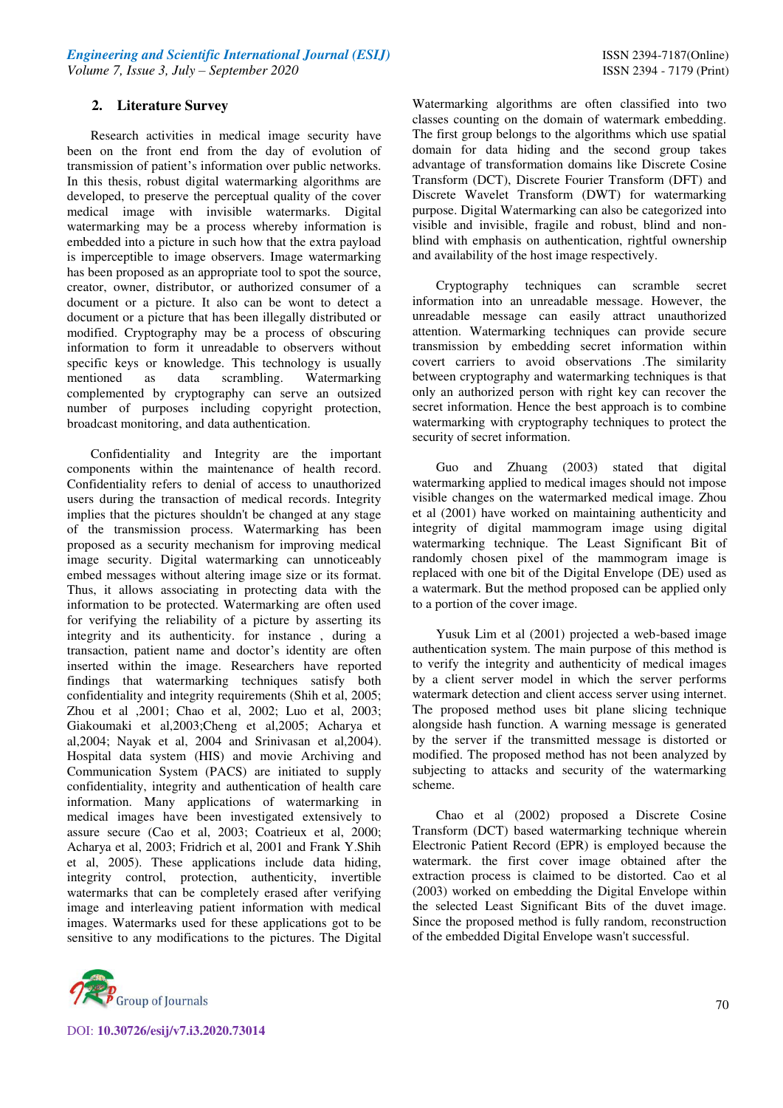# **2. Literature Survey**

Research activities in medical image security have been on the front end from the day of evolution of transmission of patient's information over public networks. In this thesis, robust digital watermarking algorithms are developed, to preserve the perceptual quality of the cover medical image with invisible watermarks. Digital watermarking may be a process whereby information is embedded into a picture in such how that the extra payload is imperceptible to image observers. Image watermarking has been proposed as an appropriate tool to spot the source, creator, owner, distributor, or authorized consumer of a document or a picture. It also can be wont to detect a document or a picture that has been illegally distributed or modified. Cryptography may be a process of obscuring information to form it unreadable to observers without specific keys or knowledge. This technology is usually mentioned as data scrambling. Watermarking complemented by cryptography can serve an outsized number of purposes including copyright protection, broadcast monitoring, and data authentication.

Confidentiality and Integrity are the important components within the maintenance of health record. Confidentiality refers to denial of access to unauthorized users during the transaction of medical records. Integrity implies that the pictures shouldn't be changed at any stage of the transmission process. Watermarking has been proposed as a security mechanism for improving medical image security. Digital watermarking can unnoticeably embed messages without altering image size or its format. Thus, it allows associating in protecting data with the information to be protected. Watermarking are often used for verifying the reliability of a picture by asserting its integrity and its authenticity. for instance , during a transaction, patient name and doctor's identity are often inserted within the image. Researchers have reported findings that watermarking techniques satisfy both confidentiality and integrity requirements (Shih et al, 2005; Zhou et al ,2001; Chao et al, 2002; Luo et al, 2003; Giakoumaki et al,2003;Cheng et al,2005; Acharya et al,2004; Nayak et al, 2004 and Srinivasan et al,2004). Hospital data system (HIS) and movie Archiving and Communication System (PACS) are initiated to supply confidentiality, integrity and authentication of health care information. Many applications of watermarking in medical images have been investigated extensively to assure secure (Cao et al, 2003; Coatrieux et al, 2000; Acharya et al, 2003; Fridrich et al, 2001 and Frank Y.Shih et al, 2005). These applications include data hiding, integrity control, protection, authenticity, invertible watermarks that can be completely erased after verifying image and interleaving patient information with medical images. Watermarks used for these applications got to be sensitive to any modifications to the pictures. The Digital



DOI: **10.30726/esij/v7.i3.2020.73014**

Watermarking algorithms are often classified into two classes counting on the domain of watermark embedding. The first group belongs to the algorithms which use spatial domain for data hiding and the second group takes advantage of transformation domains like Discrete Cosine Transform (DCT), Discrete Fourier Transform (DFT) and Discrete Wavelet Transform (DWT) for watermarking purpose. Digital Watermarking can also be categorized into visible and invisible, fragile and robust, blind and nonblind with emphasis on authentication, rightful ownership and availability of the host image respectively.

Cryptography techniques can scramble secret information into an unreadable message. However, the unreadable message can easily attract unauthorized attention. Watermarking techniques can provide secure transmission by embedding secret information within covert carriers to avoid observations .The similarity between cryptography and watermarking techniques is that only an authorized person with right key can recover the secret information. Hence the best approach is to combine watermarking with cryptography techniques to protect the security of secret information.

Guo and Zhuang (2003) stated that digital watermarking applied to medical images should not impose visible changes on the watermarked medical image. Zhou et al (2001) have worked on maintaining authenticity and integrity of digital mammogram image using digital watermarking technique. The Least Significant Bit of randomly chosen pixel of the mammogram image is replaced with one bit of the Digital Envelope (DE) used as a watermark. But the method proposed can be applied only to a portion of the cover image.

Yusuk Lim et al (2001) projected a web-based image authentication system. The main purpose of this method is to verify the integrity and authenticity of medical images by a client server model in which the server performs watermark detection and client access server using internet. The proposed method uses bit plane slicing technique alongside hash function. A warning message is generated by the server if the transmitted message is distorted or modified. The proposed method has not been analyzed by subjecting to attacks and security of the watermarking scheme.

Chao et al (2002) proposed a Discrete Cosine Transform (DCT) based watermarking technique wherein Electronic Patient Record (EPR) is employed because the watermark. the first cover image obtained after the extraction process is claimed to be distorted. Cao et al (2003) worked on embedding the Digital Envelope within the selected Least Significant Bits of the duvet image. Since the proposed method is fully random, reconstruction of the embedded Digital Envelope wasn't successful.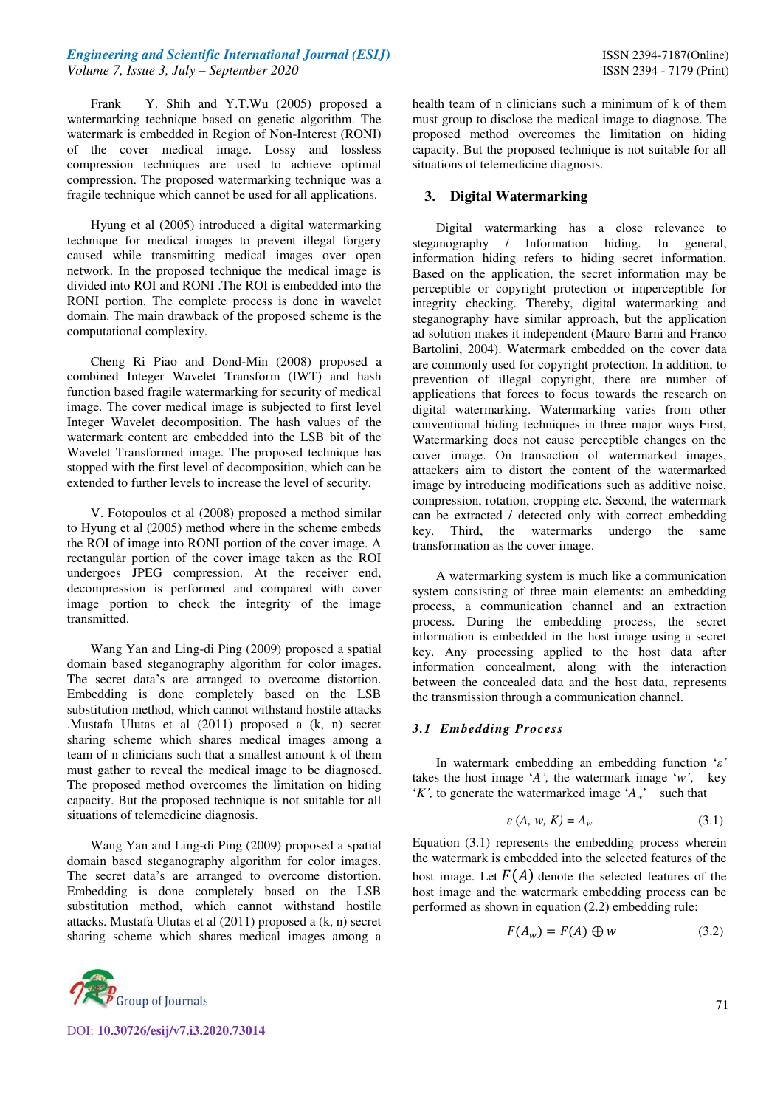Frank Y. Shih and Y.T.Wu (2005) proposed a watermarking technique based on genetic algorithm. The watermark is embedded in Region of Non-Interest (RONI) of the cover medical image. Lossy and lossless compression techniques are used to achieve optimal compression. The proposed watermarking technique was a fragile technique which cannot be used for all applications.

Hyung et al (2005) introduced a digital watermarking technique for medical images to prevent illegal forgery caused while transmitting medical images over open network. In the proposed technique the medical image is divided into ROI and RONI .The ROI is embedded into the RONI portion. The complete process is done in wavelet domain. The main drawback of the proposed scheme is the computational complexity.

Cheng Ri Piao and Dond-Min (2008) proposed a combined Integer Wavelet Transform (IWT) and hash function based fragile watermarking for security of medical image. The cover medical image is subjected to first level Integer Wavelet decomposition. The hash values of the watermark content are embedded into the LSB bit of the Wavelet Transformed image. The proposed technique has stopped with the first level of decomposition, which can be extended to further levels to increase the level of security.

V. Fotopoulos et al (2008) proposed a method similar to Hyung et al (2005) method where in the scheme embeds the ROI of image into RONI portion of the cover image. A rectangular portion of the cover image taken as the ROI undergoes JPEG compression. At the receiver end, decompression is performed and compared with cover image portion to check the integrity of the image transmitted.

Wang Yan and Ling-di Ping (2009) proposed a spatial domain based steganography algorithm for color images. The secret data's are arranged to overcome distortion. Embedding is done completely based on the LSB substitution method, which cannot withstand hostile attacks .Mustafa Ulutas et al (2011) proposed a (k, n) secret sharing scheme which shares medical images among a team of n clinicians such that a smallest amount k of them must gather to reveal the medical image to be diagnosed. The proposed method overcomes the limitation on hiding capacity. But the proposed technique is not suitable for all situations of telemedicine diagnosis.

Wang Yan and Ling-di Ping (2009) proposed a spatial domain based steganography algorithm for color images. The secret data's are arranged to overcome distortion. Embedding is done completely based on the LSB substitution method, which cannot withstand hostile attacks. Mustafa Ulutas et al (2011) proposed a (k, n) secret sharing scheme which shares medical images among a



A watermarking system is much like a communication system consisting of three main elements: an embedding process, a communication channel and an extraction process. During the embedding process, the secret information is embedded in the host image using a secret key. Any processing applied to the host data after information concealment, along with the interaction between the concealed data and the host data, represents the transmission through a communication channel.

## *3.1 Embedding Process*

In watermark embedding an embedding function '*ε'* takes the host image '*A',* the watermark image '*w'*, key '*K*', to generate the watermarked image ' $A_w$ ' such that

$$
\varepsilon(A, w, K) = A_w \tag{3.1}
$$

Equation (3.1) represents the embedding process wherein the watermark is embedded into the selected features of the host image. Let  $F(A)$  denote the selected features of the host image and the watermark embedding process can be performed as shown in equation (2.2) embedding rule:

$$
F(A_w) = F(A) \oplus w \tag{3.2}
$$



DOI: **10.30726/esij/v7.i3.2020.73014**

health team of n clinicians such a minimum of k of them must group to disclose the medical image to diagnose. The proposed method overcomes the limitation on hiding capacity. But the proposed technique is not suitable for all situations of telemedicine diagnosis.

# **3. Digital Watermarking**

Digital watermarking has a close relevance to steganography / Information hiding. In general, information hiding refers to hiding secret information. Based on the application, the secret information may be perceptible or copyright protection or imperceptible for integrity checking. Thereby, digital watermarking and steganography have similar approach, but the application ad solution makes it independent (Mauro Barni and Franco Bartolini, 2004). Watermark embedded on the cover data are commonly used for copyright protection. In addition, to prevention of illegal copyright, there are number of applications that forces to focus towards the research on digital watermarking. Watermarking varies from other conventional hiding techniques in three major ways First, Watermarking does not cause perceptible changes on the cover image. On transaction of watermarked images, attackers aim to distort the content of the watermarked image by introducing modifications such as additive noise, compression, rotation, cropping etc. Second, the watermark can be extracted / detected only with correct embedding key. Third, the watermarks undergo the same transformation as the cover image.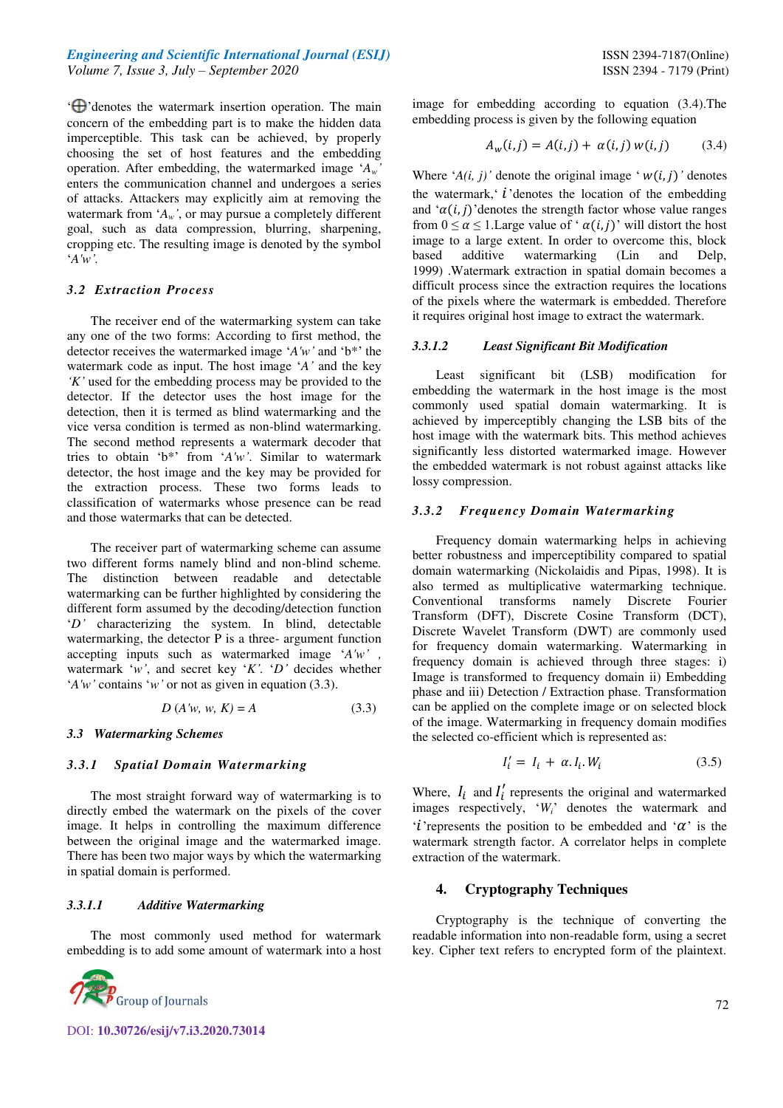$\Theta$ ' denotes the watermark insertion operation. The main concern of the embedding part is to make the hidden data imperceptible. This task can be achieved, by properly choosing the set of host features and the embedding operation. After embedding, the watermarked image '*Aw'* enters the communication channel and undergoes a series of attacks. Attackers may explicitly aim at removing the watermark from '*Aw'*, or may pursue a completely different goal, such as data compression, blurring, sharpening, cropping etc. The resulting image is denoted by the symbol '*A'w'.*

#### *3.2 Extraction Process*

The receiver end of the watermarking system can take any one of the two forms: According to first method, the detector receives the watermarked image '*A'w'* and 'b\*' the watermark code as input. The host image '*A'* and the key *'K'* used for the embedding process may be provided to the detector. If the detector uses the host image for the detection, then it is termed as blind watermarking and the vice versa condition is termed as non-blind watermarking. The second method represents a watermark decoder that tries to obtain 'b\*' from '*A'w'*. Similar to watermark detector, the host image and the key may be provided for the extraction process. These two forms leads to classification of watermarks whose presence can be read and those watermarks that can be detected.

The receiver part of watermarking scheme can assume two different forms namely blind and non-blind scheme*.* The distinction between readable and detectable watermarking can be further highlighted by considering the different form assumed by the decoding/detection function '*D'* characterizing the system. In blind, detectable watermarking, the detector P is a three- argument function accepting inputs such as watermarked image '*A'w' ,* watermark '*w'*, and secret key '*K'.* '*D'* decides whether '*A'w'* contains '*w'* or not as given in equation (3.3).

$$
D(A'w, w, K) = A
$$
 (3.3)

#### *3.3 Watermarking Schemes*

#### *3.3.1 Spatial Domain Watermarking*

The most straight forward way of watermarking is to directly embed the watermark on the pixels of the cover image. It helps in controlling the maximum difference between the original image and the watermarked image. There has been two major ways by which the watermarking in spatial domain is performed.

## *3.3.1.1 Additive Watermarking*

The most commonly used method for watermark embedding is to add some amount of watermark into a host



image for embedding according to equation (3.4).The embedding process is given by the following equation

$$
A_w(i,j) = A(i,j) + \alpha(i,j) w(i,j)
$$
 (3.4)

Where  $'A(i, j)'$  denote the original image  $\cdot w(i, j)'$  denotes the watermark,  $i$  denotes the location of the embedding and  $\alpha(i, j)$ 'denotes the strength factor whose value ranges from  $0 \le \alpha \le 1$ . Large value of ' $\alpha(i, j)$ ' will distort the host image to a large extent. In order to overcome this, block based additive watermarking (Lin and Delp, 1999) .Watermark extraction in spatial domain becomes a difficult process since the extraction requires the locations of the pixels where the watermark is embedded. Therefore it requires original host image to extract the watermark.

#### *3.3.1.2 Least Significant Bit Modification*

Least significant bit (LSB) modification for embedding the watermark in the host image is the most commonly used spatial domain watermarking. It is achieved by imperceptibly changing the LSB bits of the host image with the watermark bits. This method achieves significantly less distorted watermarked image. However the embedded watermark is not robust against attacks like lossy compression.

#### *3.3.2 Frequency Domain Watermarking*

Frequency domain watermarking helps in achieving better robustness and imperceptibility compared to spatial domain watermarking (Nickolaidis and Pipas, 1998). It is also termed as multiplicative watermarking technique. Conventional transforms namely Discrete Fourier Transform (DFT), Discrete Cosine Transform (DCT), Discrete Wavelet Transform (DWT) are commonly used for frequency domain watermarking. Watermarking in frequency domain is achieved through three stages: i) Image is transformed to frequency domain ii) Embedding phase and iii) Detection / Extraction phase. Transformation can be applied on the complete image or on selected block of the image. Watermarking in frequency domain modifies the selected co-efficient which is represented as:

$$
I'_i = I_i + \alpha I_i W_i \tag{3.5}
$$

Where,  $I_i$  and  $I'_i$  represents the original and watermarked images respectively, '*Wi*' denotes the watermark and '*i*'represents the position to be embedded and ' $\alpha$ ' is the watermark strength factor. A correlator helps in complete extraction of the watermark.

## **4. Cryptography Techniques**

Cryptography is the technique of converting the readable information into non-readable form, using a secret key. Cipher text refers to encrypted form of the plaintext.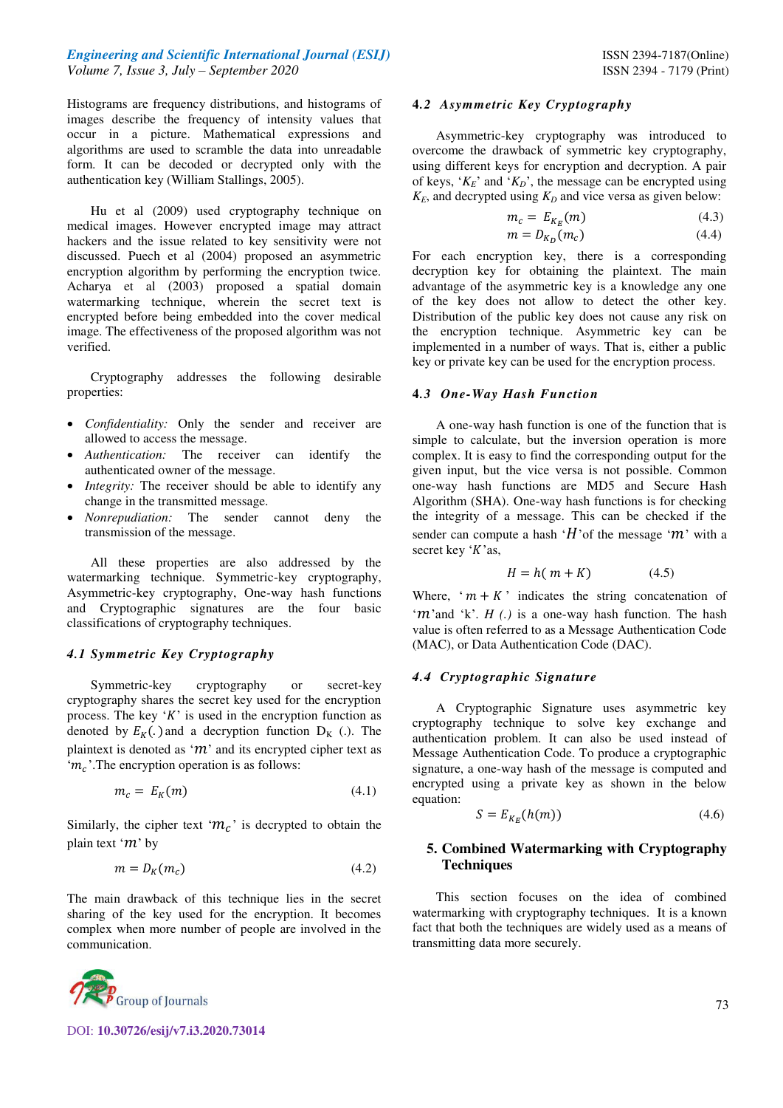Histograms are frequency distributions, and histograms of images describe the frequency of intensity values that occur in a picture. Mathematical expressions and algorithms are used to scramble the data into unreadable form. It can be decoded or decrypted only with the authentication key (William Stallings, 2005).

 Hu et al (2009) used cryptography technique on medical images. However encrypted image may attract hackers and the issue related to key sensitivity were not discussed. Puech et al (2004) proposed an asymmetric encryption algorithm by performing the encryption twice. Acharya et al (2003) proposed a spatial domain watermarking technique, wherein the secret text is encrypted before being embedded into the cover medical image. The effectiveness of the proposed algorithm was not verified.

Cryptography addresses the following desirable properties:

- *Confidentiality:* Only the sender and receiver are allowed to access the message.
- *Authentication:* The receiver can identify the authenticated owner of the message.
- *Integrity:* The receiver should be able to identify any change in the transmitted message.
- *Nonrepudiation:* The sender cannot deny the transmission of the message.

All these properties are also addressed by the watermarking technique. Symmetric-key cryptography, Asymmetric-key cryptography, One-way hash functions and Cryptographic signatures are the four basic classifications of cryptography techniques.

# *4.1 Symmetric Key Cryptography*

Symmetric-key cryptography or secret-key cryptography shares the secret key used for the encryption process. The key  $K'$  is used in the encryption function as denoted by  $E_K(.)$  and a decryption function  $D_K(.)$ . The plaintext is denoted as ' $m$ ' and its encrypted cipher text as ' $m_c$ '. The encryption operation is as follows:

$$
m_c = E_K(m) \tag{4.1}
$$

Similarly, the cipher text ' $m_c$ ' is decrypted to obtain the plain text ' $m$ ' by

$$
m = D_K(m_c) \tag{4.2}
$$

The main drawback of this technique lies in the secret sharing of the key used for the encryption. It becomes complex when more number of people are involved in the communication.



DOI: **10.30726/esij/v7.i3.2020.73014**

## **4***.2 Asymmetric Key Cryptography*

Asymmetric-key cryptography was introduced to overcome the drawback of symmetric key cryptography, using different keys for encryption and decryption. A pair of keys, ' $K_E$ ' and ' $K_D$ ', the message can be encrypted using  $K_F$ , and decrypted using  $K_D$  and vice versa as given below:

$$
m_c = E_{K_E}(m) \tag{4.3}
$$

$$
m = D_{K_D}(m_c) \tag{4.4}
$$

For each encryption key, there is a corresponding decryption key for obtaining the plaintext. The main advantage of the asymmetric key is a knowledge any one of the key does not allow to detect the other key. Distribution of the public key does not cause any risk on the encryption technique. Asymmetric key can be implemented in a number of ways. That is, either a public key or private key can be used for the encryption process.

## **4***.3 One-Way Hash Function*

A one-way hash function is one of the function that is simple to calculate, but the inversion operation is more complex. It is easy to find the corresponding output for the given input, but the vice versa is not possible. Common one-way hash functions are MD5 and Secure Hash Algorithm (SHA). One-way hash functions is for checking the integrity of a message. This can be checked if the sender can compute a hash 'H' of the message ' $m$ ' with a secret key ' $K$ 'as,

$$
H = h(m + K) \tag{4.5}
$$

Where, ' $m + K$ ' indicates the string concatenation of ' $m$ 'and 'k'. *H (.)* is a one-way hash function. The hash value is often referred to as a Message Authentication Code (MAC), or Data Authentication Code (DAC).

#### *4.4 Cryptographic Signature*

A Cryptographic Signature uses asymmetric key cryptography technique to solve key exchange and authentication problem. It can also be used instead of Message Authentication Code. To produce a cryptographic signature, a one-way hash of the message is computed and encrypted using a private key as shown in the below equation:

$$
S = E_{K_E}(h(m))
$$
\n<sup>(4.6)</sup>

# **5. Combined Watermarking with Cryptography Techniques**

This section focuses on the idea of combined watermarking with cryptography techniques. It is a known fact that both the techniques are widely used as a means of transmitting data more securely.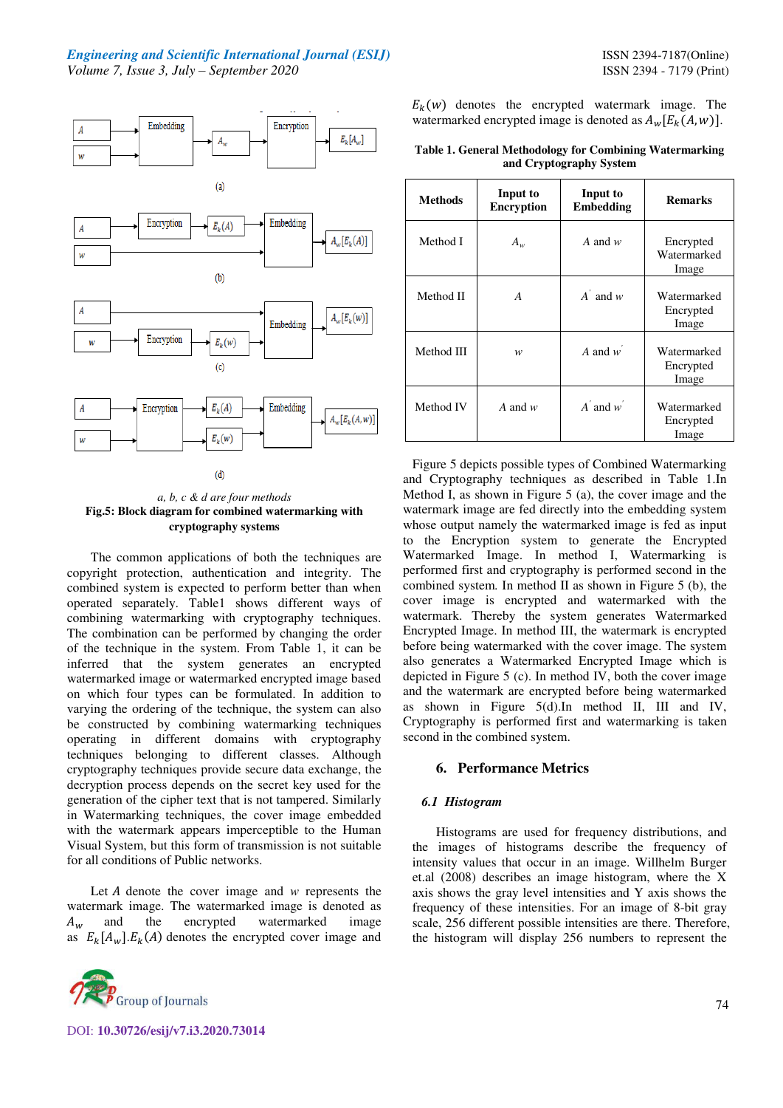



The common applications of both the techniques are copyright protection, authentication and integrity. The combined system is expected to perform better than when operated separately. Table1 shows different ways of combining watermarking with cryptography techniques. The combination can be performed by changing the order of the technique in the system. From Table 1, it can be inferred that the system generates an encrypted watermarked image or watermarked encrypted image based on which four types can be formulated. In addition to varying the ordering of the technique, the system can also be constructed by combining watermarking techniques operating in different domains with cryptography techniques belonging to different classes. Although cryptography techniques provide secure data exchange, the decryption process depends on the secret key used for the generation of the cipher text that is not tampered. Similarly in Watermarking techniques, the cover image embedded with the watermark appears imperceptible to the Human Visual System, but this form of transmission is not suitable for all conditions of Public networks.

Let *A* denote the cover image and *w* represents the watermark image. The watermarked image is denoted as  $A_w$  and the encrypted watermarked image as  $E_k[A_w]$ .  $E_k(A)$  denotes the encrypted cover image and



DOI: **10.30726/esij/v7.i3.2020.73014**

 $E_k(w)$  denotes the encrypted watermark image. The watermarked encrypted image is denoted as  $A_w[E_k(A, w)]$ .

**Table 1. General Methodology for Combining Watermarking and Cryptography System** 

| <b>Methods</b> | Input to<br><b>Encryption</b> | Input to<br><b>Embedding</b> | <b>Remarks</b>                    |
|----------------|-------------------------------|------------------------------|-----------------------------------|
| Method I       | $A_w$                         | A and $w$                    | Encrypted<br>Watermarked<br>Image |
| Method II      | A                             | $A'$ and $w$                 | Watermarked<br>Encrypted<br>Image |
| Method III     | w                             | A and $w'$                   | Watermarked<br>Encrypted<br>Image |
| Method IV      | A and $w$                     | $A'$ and $w'$                | Watermarked<br>Encrypted<br>Image |

Figure 5 depicts possible types of Combined Watermarking and Cryptography techniques as described in Table 1.In Method I, as shown in Figure 5 (a), the cover image and the watermark image are fed directly into the embedding system whose output namely the watermarked image is fed as input to the Encryption system to generate the Encrypted Watermarked Image. In method I, Watermarking is performed first and cryptography is performed second in the combined system*.* In method II as shown in Figure 5 (b), the cover image is encrypted and watermarked with the watermark. Thereby the system generates Watermarked Encrypted Image. In method III, the watermark is encrypted before being watermarked with the cover image. The system also generates a Watermarked Encrypted Image which is depicted in Figure 5 (c). In method IV, both the cover image and the watermark are encrypted before being watermarked as shown in Figure 5(d).In method II, III and IV, Cryptography is performed first and watermarking is taken second in the combined system.

# **6. Performance Metrics**

#### *6.1 Histogram*

Histograms are used for frequency distributions, and the images of histograms describe the frequency of intensity values that occur in an image. Willhelm Burger et.al (2008) describes an image histogram, where the X axis shows the gray level intensities and Y axis shows the frequency of these intensities. For an image of 8-bit gray scale, 256 different possible intensities are there. Therefore, the histogram will display 256 numbers to represent the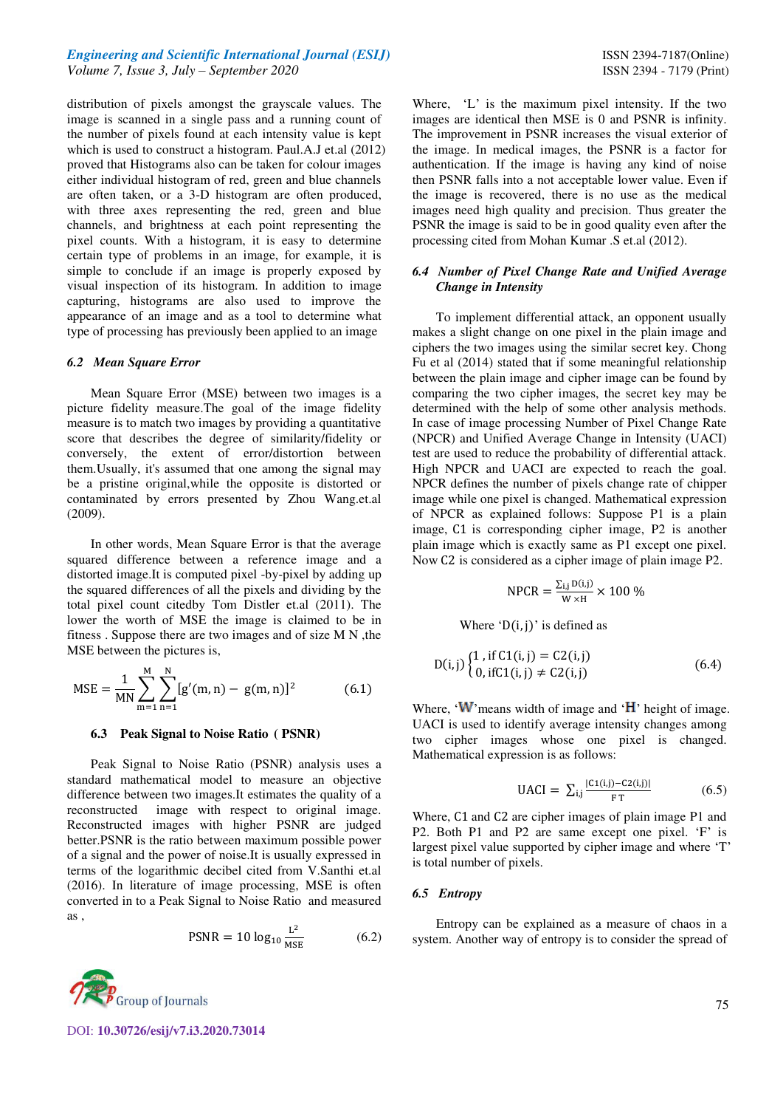distribution of pixels amongst the grayscale values. The image is scanned in a single pass and a running count of the number of pixels found at each intensity value is kept which is used to construct a histogram. Paul.A.J et.al (2012) proved that Histograms also can be taken for colour images either individual histogram of red, green and blue channels are often taken, or a 3-D histogram are often produced, with three axes representing the red, green and blue channels, and brightness at each point representing the pixel counts. With a histogram, it is easy to determine certain type of problems in an image, for example, it is simple to conclude if an image is properly exposed by visual inspection of its histogram. In addition to image capturing, histograms are also used to improve the appearance of an image and as a tool to determine what type of processing has previously been applied to an image

#### *6.2 Mean Square Error*

Mean Square Error (MSE) between two images is a picture fidelity measure.The goal of the image fidelity measure is to match two images by providing a quantitative score that describes the degree of similarity/fidelity or conversely, the extent of error/distortion between them.Usually, it's assumed that one among the signal may be a pristine original,while the opposite is distorted or contaminated by errors presented by Zhou Wang.et.al (2009).

In other words, Mean Square Error is that the average squared difference between a reference image and a distorted image.It is computed pixel -by-pixel by adding up the squared differences of all the pixels and dividing by the total pixel count citedby Tom Distler et.al (2011). The lower the worth of MSE the image is claimed to be in fitness . Suppose there are two images and of size M N ,the MSE between the pictures is,

$$
MSE = \frac{1}{MN} \sum_{m=1}^{M} \sum_{n=1}^{N} [g'(m,n) - g(m,n)]^2
$$
 (6.1)

#### **6.3 Peak Signal to Noise Ratio ( PSNR)**

Peak Signal to Noise Ratio (PSNR) analysis uses a standard mathematical model to measure an objective difference between two images.It estimates the quality of a reconstructed image with respect to original image. Reconstructed images with higher PSNR are judged better.PSNR is the ratio between maximum possible power of a signal and the power of noise.It is usually expressed in terms of the logarithmic decibel cited from V.Santhi et.al (2016). In literature of image processing, MSE is often converted in to a Peak Signal to Noise Ratio and measured as ,

$$
PSNR = 10 \log_{10} \frac{L^2}{MSE}
$$
 (6.2)



DOI: **10.30726/esij/v7.i3.2020.73014**

Where, 'L' is the maximum pixel intensity. If the two images are identical then MSE is 0 and PSNR is infinity. The improvement in PSNR increases the visual exterior of the image. In medical images, the PSNR is a factor for authentication. If the image is having any kind of noise then PSNR falls into a not acceptable lower value. Even if the image is recovered, there is no use as the medical images need high quality and precision. Thus greater the PSNR the image is said to be in good quality even after the processing cited from Mohan Kumar .S et.al (2012).

#### *6.4 Number of Pixel Change Rate and Unified Average Change in Intensity*

To implement differential attack, an opponent usually makes a slight change on one pixel in the plain image and ciphers the two images using the similar secret key. Chong Fu et al (2014) stated that if some meaningful relationship between the plain image and cipher image can be found by comparing the two cipher images, the secret key may be determined with the help of some other analysis methods. In case of image processing Number of Pixel Change Rate (NPCR) and Unified Average Change in Intensity (UACI) test are used to reduce the probability of differential attack. High NPCR and UACI are expected to reach the goal. NPCR defines the number of pixels change rate of chipper image while one pixel is changed. Mathematical expression of NPCR as explained follows: Suppose P1 is a plain image, C1 is corresponding cipher image, P2 is another plain image which is exactly same as P1 except one pixel. Now C2 is considered as a cipher image of plain image P2.

$$
NPCR = \frac{\Sigma_{i,j} \, D(i,j)}{W \times H} \times 100 \; \%
$$

Where  $D(i, j)$  is defined as

$$
D(i, j) \begin{cases} 1 \text{, if } C1(i, j) = C2(i, j) \\ 0 \text{, if } C1(i, j) \neq C2(i, j) \end{cases} (6.4)
$$

Where,  $\cdot$ W means width of image and  $\cdot$ H height of image. UACI is used to identify average intensity changes among two cipher images whose one pixel is changed. Mathematical expression is as follows:

$$
UACI = \sum_{i,j} \frac{|C_1(i,j) - C_2(i,j)|}{F T}
$$
 (6.5)

Where, C1 and C2 are cipher images of plain image P1 and P2. Both P1 and P2 are same except one pixel. 'F' is largest pixel value supported by cipher image and where 'T' is total number of pixels.

#### *6.5 Entropy*

Entropy can be explained as a measure of chaos in a system. Another way of entropy is to consider the spread of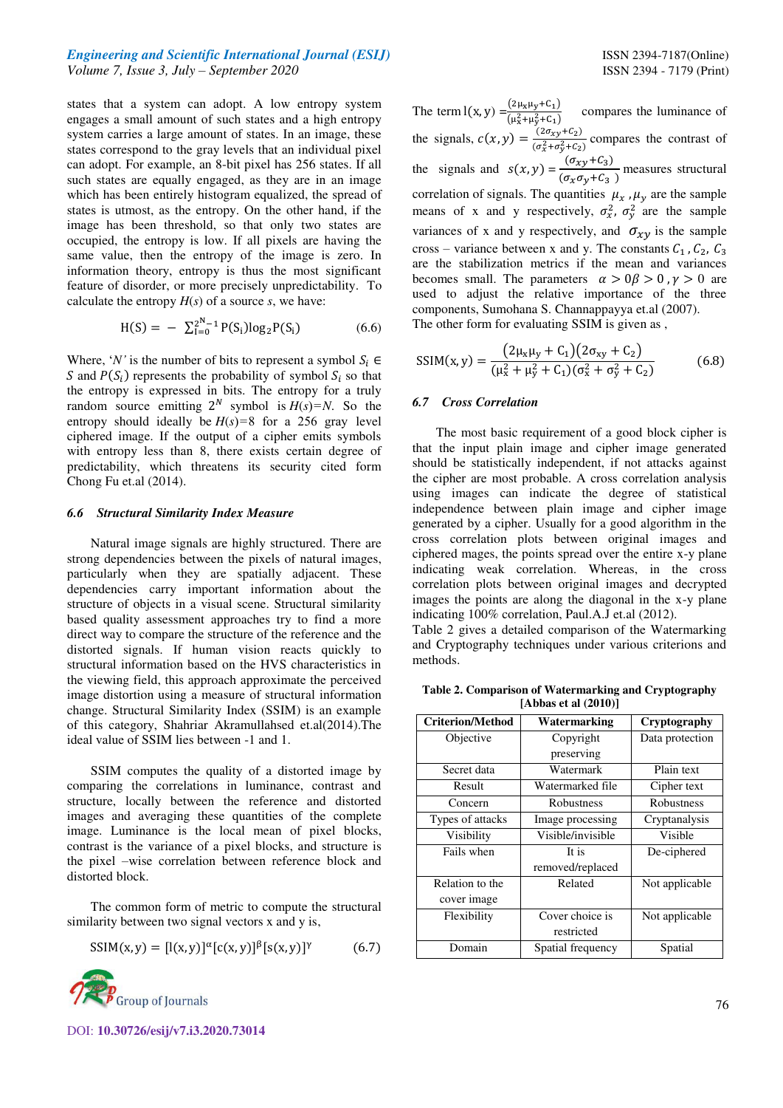states that a system can adopt. A low entropy system engages a small amount of such states and a high entropy system carries a large amount of states. In an image, these states correspond to the gray levels that an individual pixel can adopt. For example, an 8-bit pixel has 256 states. If all such states are equally engaged, as they are in an image which has been entirely histogram equalized, the spread of states is utmost, as the entropy. On the other hand, if the image has been threshold, so that only two states are occupied, the entropy is low. If all pixels are having the same value, then the entropy of the image is zero. In information theory, entropy is thus the most significant feature of disorder, or more precisely unpredictability. To calculate the entropy  $H(s)$  of a source  $s$ , we have:

$$
H(S) = -\sum_{i=0}^{2^{N}-1} P(S_i) \log_2 P(S_i)
$$
 (6.6)

Where, '*N*' is the number of bits to represent a symbol  $S_i \in$ S and  $P(S_i)$  represents the probability of symbol  $S_i$  so that the entropy is expressed in bits. The entropy for a truly random source emitting  $2^N$  symbol is  $H(s)=N$ . So the entropy should ideally be  $H(s) = 8$  for a 256 gray level ciphered image. If the output of a cipher emits symbols with entropy less than 8, there exists certain degree of predictability, which threatens its security cited form Chong Fu et.al (2014).

#### *6.6 Structural Similarity Index Measure*

Natural image signals are highly structured. There are strong dependencies between the pixels of natural images, particularly when they are spatially adjacent. These dependencies carry important information about the structure of objects in a visual scene. Structural similarity based quality assessment approaches try to find a more direct way to compare the structure of the reference and the distorted signals. If human vision reacts quickly to structural information based on the HVS characteristics in the viewing field, this approach approximate the perceived image distortion using a measure of structural information change. Structural Similarity Index (SSIM) is an example of this category, Shahriar Akramullahsed et.al(2014).The ideal value of SSIM lies between -1 and 1.

SSIM computes the quality of a distorted image by comparing the correlations in luminance, contrast and structure, locally between the reference and distorted images and averaging these quantities of the complete image. Luminance is the local mean of pixel blocks, contrast is the variance of a pixel blocks, and structure is the pixel –wise correlation between reference block and distorted block.

The common form of metric to compute the structural similarity between two signal vectors x and y is,

$$
SSIM(x, y) = [l(x, y)]^{\alpha} [c(x, y)]^{\beta} [s(x, y)]^{\gamma}
$$
 (6.7)



DOI: **10.30726/esij/v7.i3.2020.73014**

The term  $l(x, y) = \frac{(2\mu_x\mu_y + C_1)}{( \mu_x^2 + \mu_y^2 + C_1)}$  compares the luminance of the signals,  $c(x, y) = \frac{(2\sigma_{xy} + C_2)}{(\sigma_0^2 + \sigma_0^2 + C_2)}$  $\frac{(26xy+6z)}{(\sigma_x^2+\sigma_y^2+C_2)}$  compares the contrast of the signals and  $s(x, y) = \frac{(\sigma_{xy} + C_3)}{(\sigma_x \sigma_y + C_3)}$  measures structural correlation of signals. The quantities  $\mu_x$ ,  $\mu_y$  are the sample means of x and y respectively,  $\sigma_x^2$ ,  $\sigma_y^2$  are the sample variances of x and y respectively, and  $\sigma_{xy}$  is the sample cross – variance between x and y. The constants  $C_1$ ,  $C_2$ ,  $C_3$ are the stabilization metrics if the mean and variances becomes small. The parameters  $\alpha > 0$   $\beta > 0$ ,  $\gamma > 0$  are used to adjust the relative importance of the three components, Sumohana S. Channappayya et.al (2007). The other form for evaluating SSIM is given as ,

$$
SSIM(x, y) = \frac{(2\mu_x\mu_y + C_1)(2\sigma_{xy} + C_2)}{(\mu_x^2 + \mu_y^2 + C_1)(\sigma_x^2 + \sigma_y^2 + C_2)}
$$
(6.8)

#### *6.7 Cross Correlation*

The most basic requirement of a good block cipher is that the input plain image and cipher image generated should be statistically independent, if not attacks against the cipher are most probable. A cross correlation analysis using images can indicate the degree of statistical independence between plain image and cipher image generated by a cipher. Usually for a good algorithm in the cross correlation plots between original images and ciphered mages, the points spread over the entire x-y plane indicating weak correlation. Whereas, in the cross correlation plots between original images and decrypted images the points are along the diagonal in the x-y plane indicating 100% correlation, Paul.A.J et.al (2012).

Table 2 gives a detailed comparison of the Watermarking and Cryptography techniques under various criterions and methods.

**Table 2. Comparison of Watermarking and Cryptography [Abbas et al (2010)]** 

| <b>Criterion/Method</b> |                   |  |  |  |
|-------------------------|-------------------|--|--|--|
|                         | Cryptography      |  |  |  |
| Copyright               | Data protection   |  |  |  |
| preserving              |                   |  |  |  |
| Watermark               | Plain text        |  |  |  |
| Watermarked file        | Cipher text       |  |  |  |
| Robustness              | <b>Robustness</b> |  |  |  |
| Image processing        | Cryptanalysis     |  |  |  |
| Visible/invisible       | <b>Visible</b>    |  |  |  |
| It is                   | De-ciphered       |  |  |  |
| removed/replaced        |                   |  |  |  |
| Related                 | Not applicable    |  |  |  |
|                         |                   |  |  |  |
| Cover choice is         | Not applicable    |  |  |  |
| restricted              |                   |  |  |  |
| Spatial frequency       | Spatial           |  |  |  |
|                         | Watermarking      |  |  |  |